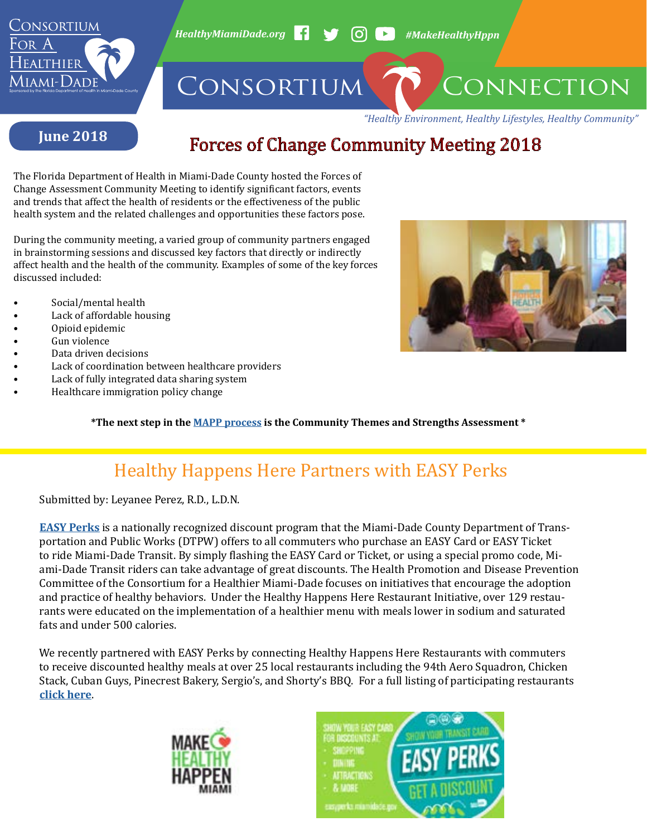

*HealthyMiamiDade.org* **4 4 (O) E** #MakeHealthyHppn

# CONSORTIUM CONNECTION

*"Healthy Environment, Healthy Lifestyles, Healthy Community"*

#### **June 2018**

## Forces of Change Community Meeting 2018

The Florida Department of Health in Miami-Dade County hosted the Forces of Change Assessment Community Meeting to identify significant factors, events and trends that affect the health of residents or the effectiveness of the public health system and the related challenges and opportunities these factors pose.

During the community meeting, a varied group of community partners engaged in brainstorming sessions and discussed key factors that directly or indirectly affect health and the health of the community. Examples of some of the key forces discussed included:

- Social/mental health
- Lack of affordable housing
- Opioid epidemic
- Gun violence
- Data driven decisions
- Lack of coordination between healthcare providers
- Lack of fully integrated data sharing system
- Healthcare immigration policy change



**\*The next step in the [MAPP process](http://www.healthymiamidade.org/resources/mapp-process/) is the Community Themes and Strengths Assessment \***

## Healthy Happens Here Partners with EASY Perks

Submitted by: Leyanee Perez, R.D., L.D.N.

**[EASY Perks](http://www8.miamidade.gov/sites/departments/transportation-publicworks/easy-perks.page)** is a nationally recognized discount program that the Miami-Dade County Department of Transportation and Public Works (DTPW) offers to all commuters who purchase an EASY Card or EASY Ticket to ride Miami-Dade Transit. By simply flashing the EASY Card or Ticket, or using a special promo code, Miami-Dade Transit riders can take advantage of great discounts. The Health Promotion and Disease Prevention Committee of the Consortium for a Healthier Miami-Dade focuses on initiatives that encourage the adoption and practice of healthy behaviors. Under the Healthy Happens Here Restaurant Initiative, over 129 restaurants were educated on the implementation of a healthier menu with meals lower in sodium and saturated fats and under 500 calories.

We recently partnered with EASY Perks by connecting Healthy Happens Here Restaurants with commuters to receive discounted healthy meals at over 25 local restaurants including the 94th Aero Squadron, Chicken Stack, Cuban Guys, Pinecrest Bakery, Sergio's, and Shorty's BBQ. For a full listing of participating restaurants **[click here](https://www8.miamidade.gov/transportation-publicworks/easy-perks/dining.asp)**.